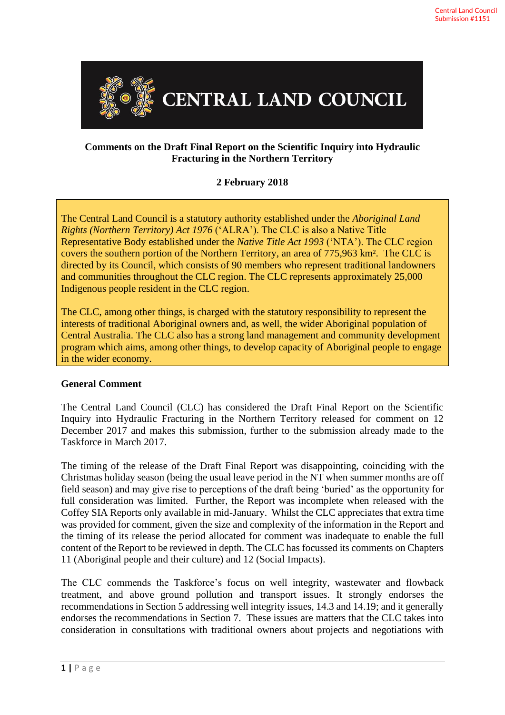

## **Comments on the Draft Final Report on the Scientific Inquiry into Hydraulic Fracturing in the Northern Territory**

## **2 February 2018**

The Central Land Council is a statutory authority established under the *Aboriginal Land Rights (Northern Territory) Act 1976* ('ALRA'). The CLC is also a Native Title Representative Body established under the *Native Title Act 1993* ('NTA'). The CLC region covers the southern portion of the Northern Territory, an area of 775,963 km². The CLC is directed by its Council, which consists of 90 members who represent traditional landowners and communities throughout the CLC region. The CLC represents approximately 25,000 Indigenous people resident in the CLC region.

The CLC, among other things, is charged with the statutory responsibility to represent the interests of traditional Aboriginal owners and, as well, the wider Aboriginal population of Central Australia. The CLC also has a strong land management and community development program which aims, among other things, to develop capacity of Aboriginal people to engage in the wider economy.

### **General Comment**

The Central Land Council (CLC) has considered the Draft Final Report on the Scientific Inquiry into Hydraulic Fracturing in the Northern Territory released for comment on 12 December 2017 and makes this submission, further to the submission already made to the Taskforce in March 2017.

The timing of the release of the Draft Final Report was disappointing, coinciding with the Christmas holiday season (being the usual leave period in the NT when summer months are off field season) and may give rise to perceptions of the draft being 'buried' as the opportunity for full consideration was limited. Further, the Report was incomplete when released with the Coffey SIA Reports only available in mid-January. Whilst the CLC appreciates that extra time was provided for comment, given the size and complexity of the information in the Report and the timing of its release the period allocated for comment was inadequate to enable the full content of the Report to be reviewed in depth. The CLC has focussed its comments on Chapters 11 (Aboriginal people and their culture) and 12 (Social Impacts).

The CLC commends the Taskforce's focus on well integrity, wastewater and flowback treatment, and above ground pollution and transport issues. It strongly endorses the recommendations in Section 5 addressing well integrity issues, 14.3 and 14.19; and it generally endorses the recommendations in Section 7. These issues are matters that the CLC takes into consideration in consultations with traditional owners about projects and negotiations with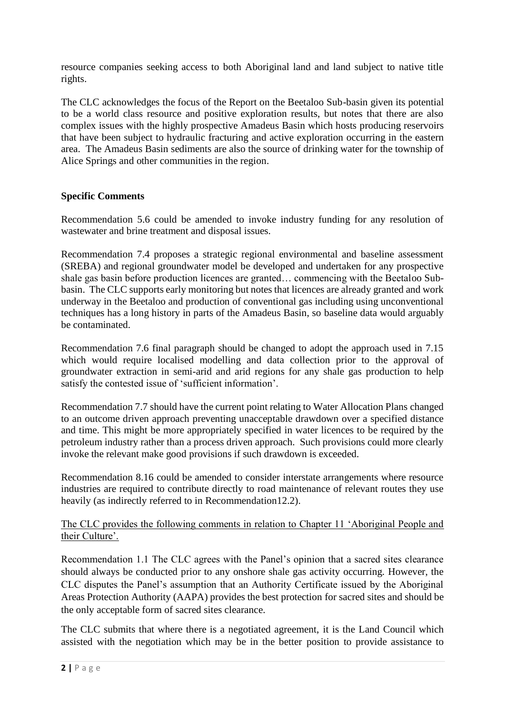resource companies seeking access to both Aboriginal land and land subject to native title rights.

The CLC acknowledges the focus of the Report on the Beetaloo Sub-basin given its potential to be a world class resource and positive exploration results, but notes that there are also complex issues with the highly prospective Amadeus Basin which hosts producing reservoirs that have been subject to hydraulic fracturing and active exploration occurring in the eastern area. The Amadeus Basin sediments are also the source of drinking water for the township of Alice Springs and other communities in the region.

# **Specific Comments**

Recommendation 5.6 could be amended to invoke industry funding for any resolution of wastewater and brine treatment and disposal issues.

Recommendation 7.4 proposes a strategic regional environmental and baseline assessment (SREBA) and regional groundwater model be developed and undertaken for any prospective shale gas basin before production licences are granted… commencing with the Beetaloo Subbasin. The CLC supports early monitoring but notes that licences are already granted and work underway in the Beetaloo and production of conventional gas including using unconventional techniques has a long history in parts of the Amadeus Basin, so baseline data would arguably be contaminated.

Recommendation 7.6 final paragraph should be changed to adopt the approach used in 7.15 which would require localised modelling and data collection prior to the approval of groundwater extraction in semi-arid and arid regions for any shale gas production to help satisfy the contested issue of 'sufficient information'.

Recommendation 7.7 should have the current point relating to Water Allocation Plans changed to an outcome driven approach preventing unacceptable drawdown over a specified distance and time. This might be more appropriately specified in water licences to be required by the petroleum industry rather than a process driven approach. Such provisions could more clearly invoke the relevant make good provisions if such drawdown is exceeded.

Recommendation 8.16 could be amended to consider interstate arrangements where resource industries are required to contribute directly to road maintenance of relevant routes they use heavily (as indirectly referred to in Recommendation12.2).

### The CLC provides the following comments in relation to Chapter 11 'Aboriginal People and their Culture'.

Recommendation 1.1 The CLC agrees with the Panel's opinion that a sacred sites clearance should always be conducted prior to any onshore shale gas activity occurring. However, the CLC disputes the Panel's assumption that an Authority Certificate issued by the Aboriginal Areas Protection Authority (AAPA) provides the best protection for sacred sites and should be the only acceptable form of sacred sites clearance.

The CLC submits that where there is a negotiated agreement, it is the Land Council which assisted with the negotiation which may be in the better position to provide assistance to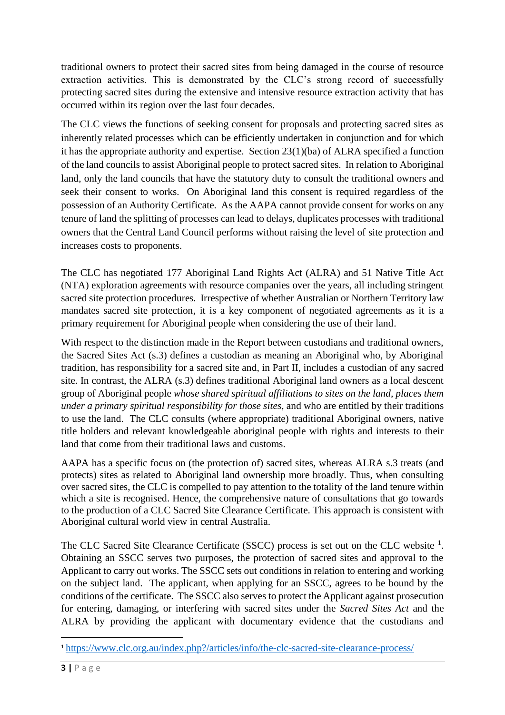traditional owners to protect their sacred sites from being damaged in the course of resource extraction activities. This is demonstrated by the CLC's strong record of successfully protecting sacred sites during the extensive and intensive resource extraction activity that has occurred within its region over the last four decades.

The CLC views the functions of seeking consent for proposals and protecting sacred sites as inherently related processes which can be efficiently undertaken in conjunction and for which it has the appropriate authority and expertise. Section 23(1)(ba) of ALRA specified a function of the land councils to assist Aboriginal people to protect sacred sites. In relation to Aboriginal land, only the land councils that have the statutory duty to consult the traditional owners and seek their consent to works. On Aboriginal land this consent is required regardless of the possession of an Authority Certificate. As the AAPA cannot provide consent for works on any tenure of land the splitting of processes can lead to delays, duplicates processes with traditional owners that the Central Land Council performs without raising the level of site protection and increases costs to proponents.

The CLC has negotiated 177 Aboriginal Land Rights Act (ALRA) and 51 Native Title Act (NTA) exploration agreements with resource companies over the years, all including stringent sacred site protection procedures. Irrespective of whether Australian or Northern Territory law mandates sacred site protection, it is a key component of negotiated agreements as it is a primary requirement for Aboriginal people when considering the use of their land.

With respect to the distinction made in the Report between custodians and traditional owners, the Sacred Sites Act (s.3) defines a custodian as meaning an Aboriginal who, by Aboriginal tradition, has responsibility for a sacred site and, in Part II, includes a custodian of any sacred site. In contrast, the ALRA (s.3) defines traditional Aboriginal land owners as a local descent group of Aboriginal people *whose shared spiritual affiliations to sites on the land, places them under a primary spiritual responsibility for those sites*, and who are entitled by their traditions to use the land. The CLC consults (where appropriate) traditional Aboriginal owners, native title holders and relevant knowledgeable aboriginal people with rights and interests to their land that come from their traditional laws and customs.

AAPA has a specific focus on (the protection of) sacred sites, whereas ALRA s.3 treats (and protects) sites as related to Aboriginal land ownership more broadly. Thus, when consulting over sacred sites, the CLC is compelled to pay attention to the totality of the land tenure within which a site is recognised. Hence, the comprehensive nature of consultations that go towards to the production of a CLC Sacred Site Clearance Certificate. This approach is consistent with Aboriginal cultural world view in central Australia.

The CLC Sacred Site Clearance Certificate (SSCC) process is set out on the CLC website <sup>1</sup>. Obtaining an SSCC serves two purposes, the protection of sacred sites and approval to the Applicant to carry out works. The SSCC sets out conditions in relation to entering and working on the subject land. The applicant, when applying for an SSCC, agrees to be bound by the conditions of the certificate. The SSCC also serves to protect the Applicant against prosecution for entering, damaging, or interfering with sacred sites under the *Sacred Sites Act* and the ALRA by providing the applicant with documentary evidence that the custodians and

<sup>1</sup> <https://www.clc.org.au/index.php?/articles/info/the-clc-sacred-site-clearance-process/>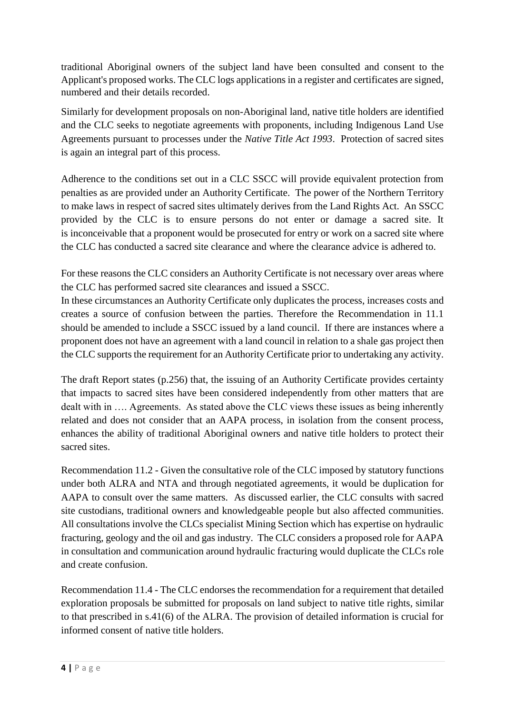traditional Aboriginal owners of the subject land have been consulted and consent to the Applicant's proposed works. The CLC logs applications in a register and certificates are signed, numbered and their details recorded.

Similarly for development proposals on non-Aboriginal land, native title holders are identified and the CLC seeks to negotiate agreements with proponents, including Indigenous Land Use Agreements pursuant to processes under the *Native Title Act 1993*. Protection of sacred sites is again an integral part of this process.

Adherence to the conditions set out in a CLC SSCC will provide equivalent protection from penalties as are provided under an Authority Certificate. The power of the Northern Territory to make laws in respect of sacred sites ultimately derives from the Land Rights Act. An SSCC provided by the CLC is to ensure persons do not enter or damage a sacred site. It is inconceivable that a proponent would be prosecuted for entry or work on a sacred site where the CLC has conducted a sacred site clearance and where the clearance advice is adhered to.

For these reasons the CLC considers an Authority Certificate is not necessary over areas where the CLC has performed sacred site clearances and issued a SSCC.

In these circumstances an Authority Certificate only duplicates the process, increases costs and creates a source of confusion between the parties. Therefore the Recommendation in 11.1 should be amended to include a SSCC issued by a land council. If there are instances where a proponent does not have an agreement with a land council in relation to a shale gas project then the CLC supports the requirement for an Authority Certificate prior to undertaking any activity.

The draft Report states (p.256) that, the issuing of an Authority Certificate provides certainty that impacts to sacred sites have been considered independently from other matters that are dealt with in …. Agreements. As stated above the CLC views these issues as being inherently related and does not consider that an AAPA process, in isolation from the consent process, enhances the ability of traditional Aboriginal owners and native title holders to protect their sacred sites.

Recommendation 11.2 - Given the consultative role of the CLC imposed by statutory functions under both ALRA and NTA and through negotiated agreements, it would be duplication for AAPA to consult over the same matters. As discussed earlier, the CLC consults with sacred site custodians, traditional owners and knowledgeable people but also affected communities. All consultations involve the CLCs specialist Mining Section which has expertise on hydraulic fracturing, geology and the oil and gas industry. The CLC considers a proposed role for AAPA in consultation and communication around hydraulic fracturing would duplicate the CLCs role and create confusion.

Recommendation 11.4 - The CLC endorses the recommendation for a requirement that detailed exploration proposals be submitted for proposals on land subject to native title rights, similar to that prescribed in s.41(6) of the ALRA. The provision of detailed information is crucial for informed consent of native title holders.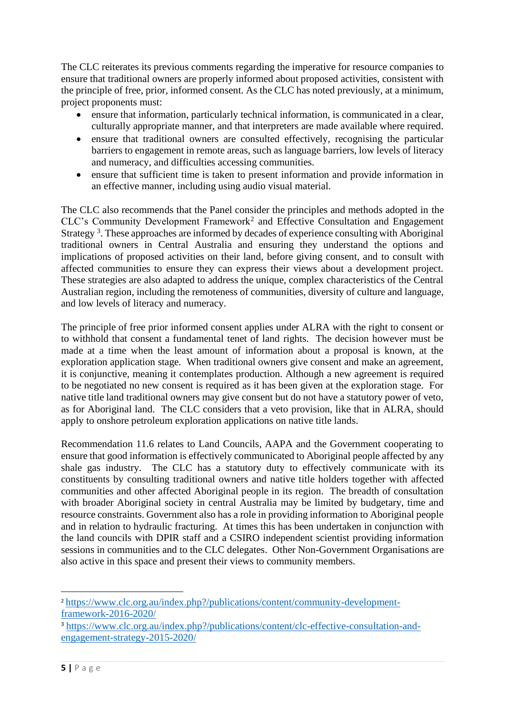The CLC reiterates its previous comments regarding the imperative for resource companies to ensure that traditional owners are properly informed about proposed activities, consistent with the principle of free, prior, informed consent. As the CLC has noted previously, at a minimum, project proponents must:

- ensure that information, particularly technical information, is communicated in a clear, culturally appropriate manner, and that interpreters are made available where required.
- ensure that traditional owners are consulted effectively, recognising the particular barriers to engagement in remote areas, such as language barriers, low levels of literacy and numeracy, and difficulties accessing communities.
- ensure that sufficient time is taken to present information and provide information in an effective manner, including using audio visual material.

The CLC also recommends that the Panel consider the principles and methods adopted in the CLC's Community Development Framework<sup>2</sup> and Effective Consultation and Engagement Strategy<sup>3</sup>. These approaches are informed by decades of experience consulting with Aboriginal traditional owners in Central Australia and ensuring they understand the options and implications of proposed activities on their land, before giving consent, and to consult with affected communities to ensure they can express their views about a development project. These strategies are also adapted to address the unique, complex characteristics of the Central Australian region, including the remoteness of communities, diversity of culture and language, and low levels of literacy and numeracy.

The principle of free prior informed consent applies under ALRA with the right to consent or to withhold that consent a fundamental tenet of land rights. The decision however must be made at a time when the least amount of information about a proposal is known, at the exploration application stage. When traditional owners give consent and make an agreement, it is conjunctive, meaning it contemplates production. Although a new agreement is required to be negotiated no new consent is required as it has been given at the exploration stage. For native title land traditional owners may give consent but do not have a statutory power of veto, as for Aboriginal land. The CLC considers that a veto provision, like that in ALRA, should apply to onshore petroleum exploration applications on native title lands.

Recommendation 11.6 relates to Land Councils, AAPA and the Government cooperating to ensure that good information is effectively communicated to Aboriginal people affected by any shale gas industry. The CLC has a statutory duty to effectively communicate with its constituents by consulting traditional owners and native title holders together with affected communities and other affected Aboriginal people in its region. The breadth of consultation with broader Aboriginal society in central Australia may be limited by budgetary, time and resource constraints. Government also has a role in providing information to Aboriginal people and in relation to hydraulic fracturing. At times this has been undertaken in conjunction with the land councils with DPIR staff and a CSIRO independent scientist providing information sessions in communities and to the CLC delegates. Other Non-Government Organisations are also active in this space and present their views to community members.

 $\overline{a}$ <sup>2</sup> [https://www.clc.org.au/index.php?/publications/content/community-development](https://www.clc.org.au/index.php?/publications/content/community-development-framework-2016-2020/)[framework-2016-2020/](https://www.clc.org.au/index.php?/publications/content/community-development-framework-2016-2020/) 

<sup>3</sup> [https://www.clc.org.au/index.php?/publications/content/clc-effective-consultation-and](https://www.clc.org.au/index.php?/publications/content/clc-effective-consultation-and-engagement-strategy-2015-2020/)[engagement-strategy-2015-2020/](https://www.clc.org.au/index.php?/publications/content/clc-effective-consultation-and-engagement-strategy-2015-2020/)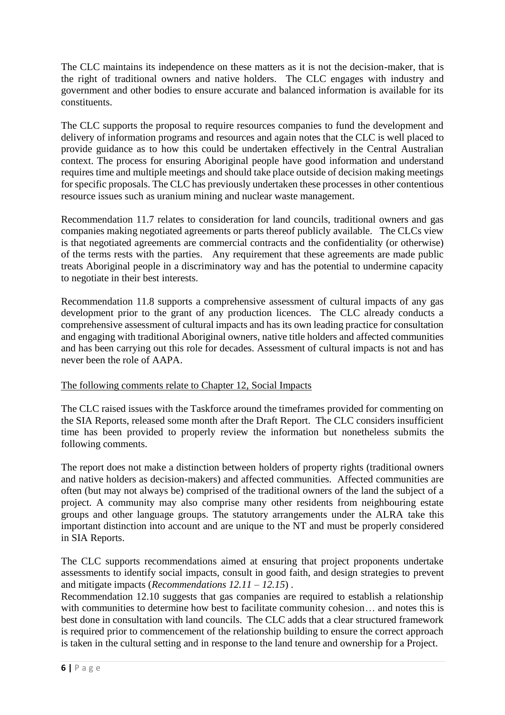The CLC maintains its independence on these matters as it is not the decision-maker, that is the right of traditional owners and native holders. The CLC engages with industry and government and other bodies to ensure accurate and balanced information is available for its constituents.

The CLC supports the proposal to require resources companies to fund the development and delivery of information programs and resources and again notes that the CLC is well placed to provide guidance as to how this could be undertaken effectively in the Central Australian context. The process for ensuring Aboriginal people have good information and understand requires time and multiple meetings and should take place outside of decision making meetings for specific proposals. The CLC has previously undertaken these processes in other contentious resource issues such as uranium mining and nuclear waste management.

Recommendation 11.7 relates to consideration for land councils, traditional owners and gas companies making negotiated agreements or parts thereof publicly available. The CLCs view is that negotiated agreements are commercial contracts and the confidentiality (or otherwise) of the terms rests with the parties. Any requirement that these agreements are made public treats Aboriginal people in a discriminatory way and has the potential to undermine capacity to negotiate in their best interests.

Recommendation 11.8 supports a comprehensive assessment of cultural impacts of any gas development prior to the grant of any production licences. The CLC already conducts a comprehensive assessment of cultural impacts and has its own leading practice for consultation and engaging with traditional Aboriginal owners, native title holders and affected communities and has been carrying out this role for decades. Assessment of cultural impacts is not and has never been the role of AAPA.

### The following comments relate to Chapter 12, Social Impacts

The CLC raised issues with the Taskforce around the timeframes provided for commenting on the SIA Reports, released some month after the Draft Report. The CLC considers insufficient time has been provided to properly review the information but nonetheless submits the following comments.

The report does not make a distinction between holders of property rights (traditional owners and native holders as decision-makers) and affected communities. Affected communities are often (but may not always be) comprised of the traditional owners of the land the subject of a project. A community may also comprise many other residents from neighbouring estate groups and other language groups. The statutory arrangements under the ALRA take this important distinction into account and are unique to the NT and must be properly considered in SIA Reports.

The CLC supports recommendations aimed at ensuring that project proponents undertake assessments to identify social impacts, consult in good faith, and design strategies to prevent and mitigate impacts (*Recommendations 12.11 – 12.15*) .

Recommendation 12.10 suggests that gas companies are required to establish a relationship with communities to determine how best to facilitate community cohesion... and notes this is best done in consultation with land councils. The CLC adds that a clear structured framework is required prior to commencement of the relationship building to ensure the correct approach is taken in the cultural setting and in response to the land tenure and ownership for a Project.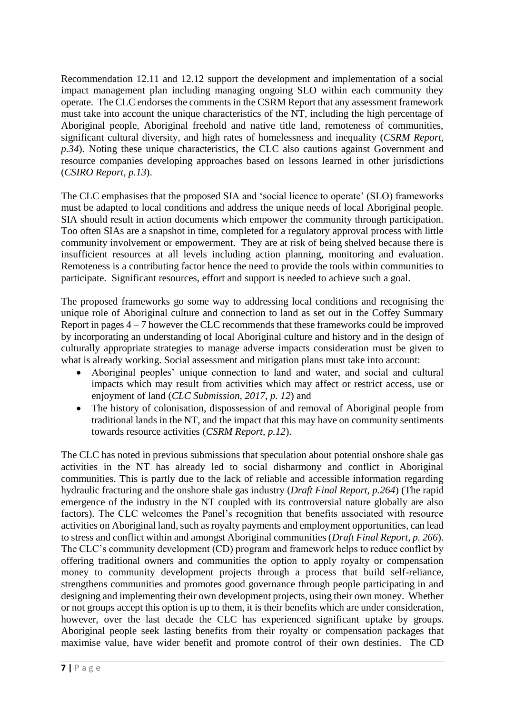Recommendation 12.11 and 12.12 support the development and implementation of a social impact management plan including managing ongoing SLO within each community they operate. The CLC endorses the comments in the CSRM Report that any assessment framework must take into account the unique characteristics of the NT, including the high percentage of Aboriginal people, Aboriginal freehold and native title land, remoteness of communities, significant cultural diversity, and high rates of homelessness and inequality (*CSRM Report, p.34*). Noting these unique characteristics, the CLC also cautions against Government and resource companies developing approaches based on lessons learned in other jurisdictions (*CSIRO Report, p.13*).

The CLC emphasises that the proposed SIA and 'social licence to operate' (SLO) frameworks must be adapted to local conditions and address the unique needs of local Aboriginal people. SIA should result in action documents which empower the community through participation. Too often SIAs are a snapshot in time, completed for a regulatory approval process with little community involvement or empowerment. They are at risk of being shelved because there is insufficient resources at all levels including action planning, monitoring and evaluation. Remoteness is a contributing factor hence the need to provide the tools within communities to participate. Significant resources, effort and support is needed to achieve such a goal.

The proposed frameworks go some way to addressing local conditions and recognising the unique role of Aboriginal culture and connection to land as set out in the Coffey Summary Report in pages 4 – 7 however the CLC recommends that these frameworks could be improved by incorporating an understanding of local Aboriginal culture and history and in the design of culturally appropriate strategies to manage adverse impacts consideration must be given to what is already working. Social assessment and mitigation plans must take into account:

- Aboriginal peoples' unique connection to land and water, and social and cultural impacts which may result from activities which may affect or restrict access, use or enjoyment of land (*CLC Submission, 2017, p. 12*) and
- The history of colonisation, dispossession of and removal of Aboriginal people from traditional lands in the NT, and the impact that this may have on community sentiments towards resource activities (*CSRM Report, p.12*).

The CLC has noted in previous submissions that speculation about potential onshore shale gas activities in the NT has already led to social disharmony and conflict in Aboriginal communities. This is partly due to the lack of reliable and accessible information regarding hydraulic fracturing and the onshore shale gas industry (*Draft Final Report, p.264*) (The rapid emergence of the industry in the NT coupled with its controversial nature globally are also factors). The CLC welcomes the Panel's recognition that benefits associated with resource activities on Aboriginal land, such as royalty payments and employment opportunities, can lead to stress and conflict within and amongst Aboriginal communities (*Draft Final Report, p. 266*). The CLC's community development (CD) program and framework helps to reduce conflict by offering traditional owners and communities the option to apply royalty or compensation money to community development projects through a process that build self-reliance, strengthens communities and promotes good governance through people participating in and designing and implementing their own development projects, using their own money. Whether or not groups accept this option is up to them, it is their benefits which are under consideration, however, over the last decade the CLC has experienced significant uptake by groups. Aboriginal people seek lasting benefits from their royalty or compensation packages that maximise value, have wider benefit and promote control of their own destinies. The CD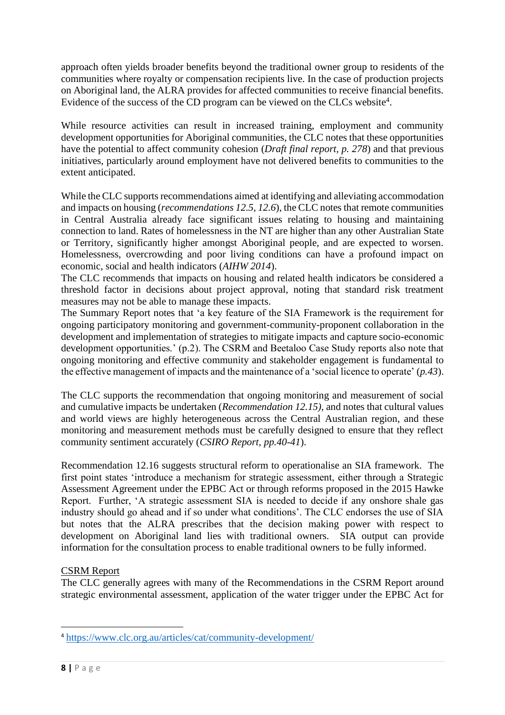approach often yields broader benefits beyond the traditional owner group to residents of the communities where royalty or compensation recipients live. In the case of production projects on Aboriginal land, the ALRA provides for affected communities to receive financial benefits. Evidence of the success of the CD program can be viewed on the CLCs website<sup>4</sup>.

While resource activities can result in increased training, employment and community development opportunities for Aboriginal communities, the CLC notes that these opportunities have the potential to affect community cohesion (*Draft final report, p. 278*) and that previous initiatives, particularly around employment have not delivered benefits to communities to the extent anticipated.

While the CLC supports recommendations aimed at identifying and alleviating accommodation and impacts on housing (*recommendations 12.5, 12.6*), the CLC notes that remote communities in Central Australia already face significant issues relating to housing and maintaining connection to land. Rates of homelessness in the NT are higher than any other Australian State or Territory, significantly higher amongst Aboriginal people, and are expected to worsen. Homelessness, overcrowding and poor living conditions can have a profound impact on economic, social and health indicators (*AIHW 2014*).

The CLC recommends that impacts on housing and related health indicators be considered a threshold factor in decisions about project approval, noting that standard risk treatment measures may not be able to manage these impacts.

The Summary Report notes that 'a key feature of the SIA Framework is the requirement for ongoing participatory monitoring and government-community-proponent collaboration in the development and implementation of strategies to mitigate impacts and capture socio-economic development opportunities.' (p.2). The CSRM and Beetaloo Case Study reports also note that ongoing monitoring and effective community and stakeholder engagement is fundamental to the effective management of impacts and the maintenance of a 'social licence to operate' (*p.43*).

The CLC supports the recommendation that ongoing monitoring and measurement of social and cumulative impacts be undertaken (*Recommendation 12.15)*, and notes that cultural values and world views are highly heterogeneous across the Central Australian region, and these monitoring and measurement methods must be carefully designed to ensure that they reflect community sentiment accurately (*CSIRO Report, pp.40-41*).

Recommendation 12.16 suggests structural reform to operationalise an SIA framework. The first point states 'introduce a mechanism for strategic assessment, either through a Strategic Assessment Agreement under the EPBC Act or through reforms proposed in the 2015 Hawke Report. Further, 'A strategic assessment SIA is needed to decide if any onshore shale gas industry should go ahead and if so under what conditions'. The CLC endorses the use of SIA but notes that the ALRA prescribes that the decision making power with respect to development on Aboriginal land lies with traditional owners. SIA output can provide information for the consultation process to enable traditional owners to be fully informed.

### CSRM Report

The CLC generally agrees with many of the Recommendations in the CSRM Report around strategic environmental assessment, application of the water trigger under the EPBC Act for

1

<sup>4</sup> <https://www.clc.org.au/articles/cat/community-development/>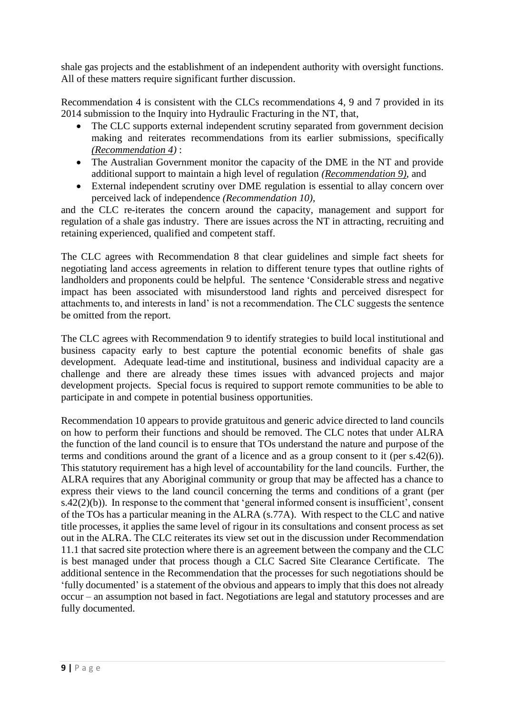shale gas projects and the establishment of an independent authority with oversight functions. All of these matters require significant further discussion.

Recommendation 4 is consistent with the CLCs recommendations 4, 9 and 7 provided in its 2014 submission to the Inquiry into Hydraulic Fracturing in the NT, that,

- The CLC supports external independent scrutiny separated from government decision making and reiterates recommendations from its earlier submissions, specifically *(Recommendation 4)* :
- The Australian Government monitor the capacity of the DME in the NT and provide additional support to maintain a high level of regulation *(Recommendation 9)*, and
- External independent scrutiny over DME regulation is essential to allay concern over perceived lack of independence *(Recommendation 10),*

and the CLC re-iterates the concern around the capacity, management and support for regulation of a shale gas industry. There are issues across the NT in attracting, recruiting and retaining experienced, qualified and competent staff.

The CLC agrees with Recommendation 8 that clear guidelines and simple fact sheets for negotiating land access agreements in relation to different tenure types that outline rights of landholders and proponents could be helpful. The sentence 'Considerable stress and negative impact has been associated with misunderstood land rights and perceived disrespect for attachments to, and interests in land' is not a recommendation. The CLC suggests the sentence be omitted from the report.

The CLC agrees with Recommendation 9 to identify strategies to build local institutional and business capacity early to best capture the potential economic benefits of shale gas development. Adequate lead-time and institutional, business and individual capacity are a challenge and there are already these times issues with advanced projects and major development projects. Special focus is required to support remote communities to be able to participate in and compete in potential business opportunities.

Recommendation 10 appears to provide gratuitous and generic advice directed to land councils on how to perform their functions and should be removed. The CLC notes that under ALRA the function of the land council is to ensure that TOs understand the nature and purpose of the terms and conditions around the grant of a licence and as a group consent to it (per s.42(6)). This statutory requirement has a high level of accountability for the land councils. Further, the ALRA requires that any Aboriginal community or group that may be affected has a chance to express their views to the land council concerning the terms and conditions of a grant (per s.42(2)(b)). In response to the comment that 'general informed consent is insufficient', consent of the TOs has a particular meaning in the ALRA (s.77A). With respect to the CLC and native title processes, it applies the same level of rigour in its consultations and consent process as set out in the ALRA. The CLC reiterates its view set out in the discussion under Recommendation 11.1 that sacred site protection where there is an agreement between the company and the CLC is best managed under that process though a CLC Sacred Site Clearance Certificate. The additional sentence in the Recommendation that the processes for such negotiations should be 'fully documented' is a statement of the obvious and appears to imply that this does not already occur – an assumption not based in fact. Negotiations are legal and statutory processes and are fully documented.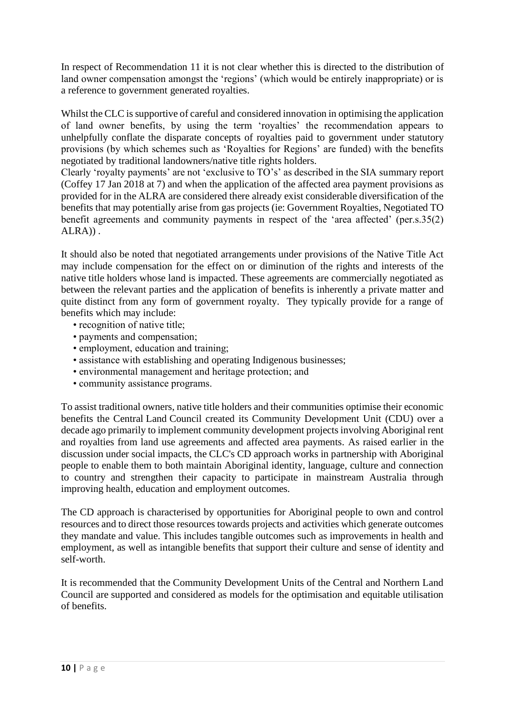In respect of Recommendation 11 it is not clear whether this is directed to the distribution of land owner compensation amongst the 'regions' (which would be entirely inappropriate) or is a reference to government generated royalties.

Whilst the CLC is supportive of careful and considered innovation in optimising the application of land owner benefits, by using the term 'royalties' the recommendation appears to unhelpfully conflate the disparate concepts of royalties paid to government under statutory provisions (by which schemes such as 'Royalties for Regions' are funded) with the benefits negotiated by traditional landowners/native title rights holders.

Clearly 'royalty payments' are not 'exclusive to TO's' as described in the SIA summary report (Coffey 17 Jan 2018 at 7) and when the application of the affected area payment provisions as provided for in the ALRA are considered there already exist considerable diversification of the benefits that may potentially arise from gas projects (ie: Government Royalties, Negotiated TO benefit agreements and community payments in respect of the 'area affected' (per.s.35(2) ALRA)) .

It should also be noted that negotiated arrangements under provisions of the Native Title Act may include compensation for the effect on or diminution of the rights and interests of the native title holders whose land is impacted. These agreements are commercially negotiated as between the relevant parties and the application of benefits is inherently a private matter and quite distinct from any form of government royalty. They typically provide for a range of benefits which may include:

- recognition of native title;
- payments and compensation;
- employment, education and training;
- assistance with establishing and operating Indigenous businesses;
- environmental management and heritage protection; and
- community assistance programs.

To assist traditional owners, native title holders and their communities optimise their economic benefits the Central Land Council created its Community Development Unit (CDU) over a decade ago primarily to implement community development projects involving Aboriginal rent and royalties from land use agreements and affected area payments. As raised earlier in the discussion under social impacts, the CLC's CD approach works in partnership with Aboriginal people to enable them to both maintain Aboriginal identity, language, culture and connection to country and strengthen their capacity to participate in mainstream Australia through improving health, education and employment outcomes.

The CD approach is characterised by opportunities for Aboriginal people to own and control resources and to direct those resources towards projects and activities which generate outcomes they mandate and value. This includes tangible outcomes such as improvements in health and employment, as well as intangible benefits that support their culture and sense of identity and self-worth.

It is recommended that the Community Development Units of the Central and Northern Land Council are supported and considered as models for the optimisation and equitable utilisation of benefits.